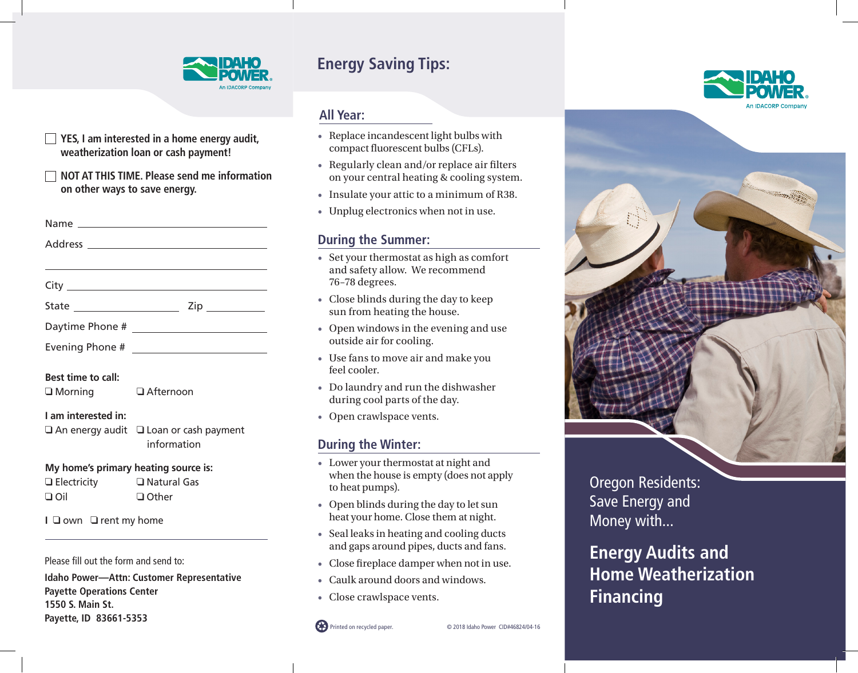

# **Energy Saving Tips:**

#### **All Year:**

- Replace incandescent light bulbs with compact fluorescent bulbs (CFLs).
- Regularly clean and/or replace air filters on your central heating & cooling system.
- Insulate your attic to a minimum of R38.
- Unplug electronics when not in use.

#### **During the Summer:**

- Set your thermostat as high as comfort and safety allow. We recommend 76–78 degrees.
- Close blinds during the day to keep sun from heating the house.
- Open windows in the evening and use outside air for cooling.
- Use fans to move air and make you feel cooler.
- Do laundry and run the dishwasher during cool parts of the day.
- Open crawlspace vents.

### **During the Winter:**

- Lower your thermostat at night and when the house is empty (does not apply to heat pumps).
- Open blinds during the day to let sun heat your home. Close them at night.
- Seal leaks in heating and cooling ducts and gaps around pipes, ducts and fans.
- Close fireplace damper when not in use.
- Caulk around doors and windows.
- Close crawlspace vents.







Oregon Residents: Save Energy and Money with...

**Energy Audits and Home Weatherization Financing**

### **Best time to call:**

 $\Box$  Morning  $\Box$  Afternoon

**YES, I am interested in a home energy audit, weatherization loan or cash payment!**

Name

Address

City State Zip Daytime Phone #

Evening Phone #

**on other ways to save energy.** 

**NOT AT THIS TIME. Please send me information**

#### **I am interested in:**

 $\Box$  An energy audit  $\Box$  Loan or cash payment information

#### **My home's primary heating source is:**

| $\Box$ Electricity | □ Natural Gas |
|--------------------|---------------|
| $\Box$ Oil         | $\Box$ Other  |

**I Q** own **Q** rent my home

Please fill out the form and send to:

**Idaho Power—Attn: Customer Representative Payette Operations Center 1550 S. Main St. Payette, ID 83661-5353**